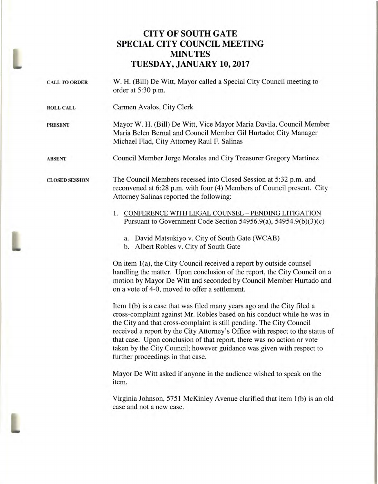## **CITY OF SOUTH GATE SPECIAL CITY COUNCIL MEETING MINUTES TUESDAY, JANUARY 10, 2017**

CALL TO ORDER W. H. (Bill) De Witt, Mayor called a Special City Council meeting to order at 5:30 p.m. **ROLL CALL** Carmen Avalos, City Clerk **PRESENT** Mayor W. H. (Bill) De Witt, Vice Mayor Maria Davila, Council Member Maria Belen Bernal and Council Member Gil Hurtado; City Manager Michael Had, City Attorney Raul F. Salinas **ABSENT** Council Member Jorge Morales and City Treasurer Gregory Martinez **CLOSED SESSION** The Council Members recessed into Closed Session at 5:32 p.m. and reconvened at 6:28 p.m. with four (4) Members of Council present. City Attorney Salinas reported the following: 1. CONFERENCE WITH LEGAL COUNSEL - PENDING LITIGATION Pursuant to Government Code Section 54956.9(a), 54954.9(b)(3)(c) a. David Matsukiyo v. City of South Gate (WCAB) b. Albert Robles v. City of South Gate On item 1(a), the City Council received a report by outside counsel handling the matter. Upon conclusion of the report, the City Council on a motion by Mayor De Witt and seconded by Council Member Hurtado and on a vote of 4-0, moved to offer a settlement. Item 1(b) is a case that was filed many years ago and the City filed a cross-complaint against Mr. Robles based on his conduct while he was in the City and that cross-complaint is still pending. The City Council received a report by the City Attorney's Office with respect to the status of that case. Upon conclusion of that report, there was no action or vote taken by the City Council; however guidance was given with respect to further proceedings in that case. Mayor De Witt asked if anyone in the audience wished to speak on the item. Virginia Johnson, 5751 McKinley Avenue clarified that item 1(b) is an old case and not a new case.